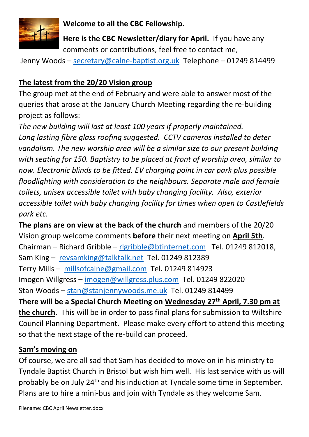

**Welcome to all the CBC Fellowship.**

**Here is the CBC Newsletter/diary for April.** If you have any comments or contributions, feel free to contact me,

Jenny Woods - [secretary@calne-baptist.org.uk](mailto:secretary@calne-baptist.org.uk) Telephone - 01249 814499

## **The latest from the 20/20 Vision group**

The group met at the end of February and were able to answer most of the queries that arose at the January Church Meeting regarding the re-building project as follows:

*The new building will last at least 100 years if properly maintained. Long lasting fibre glass roofing suggested. CCTV cameras installed to deter vandalism. The new worship area will be a similar size to our present building with seating for 150. Baptistry to be placed at front of worship area, similar to now. Electronic blinds to be fitted. EV charging point in car park plus possible floodlighting with consideration to the neighbours. Separate male and female toilets, unisex accessible toilet with baby changing facility. Also, exterior accessible toilet with baby changing facility for times when open to Castlefields park etc.*

**The plans are on view at the back of the church** and members of the 20/20 Vision group welcome comments **before** their next meeting on **April 5th**. Chairman – Richard Gribble – [rlgribble@btinternet.com](mailto:rlgribble@btinternet.com) Tel. 01249 812018, Sam King – [revsamking@talktalk.net](mailto:revsamking@talktalk.net) Tel. 01249 812389 Terry Mills – [millsofcalne@gmail.com](mailto:millsofcalne@gmail.com) Tel. 01249 814923 Imogen Willgress – [imogen@willgress.plus.com](mailto:imogen@willgress.plus.com) Tel. 01249 822020 Stan Woods – [stan@stanjennywoods.me.uk](mailto:stan@stanjennywoods.me.uk) Tel. 01249 814499 **There will be a Special Church Meeting on Wednesday 27th April, 7.30 pm at the church**. This will be in order to pass final plans for submission to Wiltshire Council Planning Department. Please make every effort to attend this meeting so that the next stage of the re-build can proceed.

## **Sam's moving on**

Of course, we are all sad that Sam has decided to move on in his ministry to Tyndale Baptist Church in Bristol but wish him well. His last service with us will probably be on July 24<sup>th</sup> and his induction at Tyndale some time in September. Plans are to hire a mini-bus and join with Tyndale as they welcome Sam.